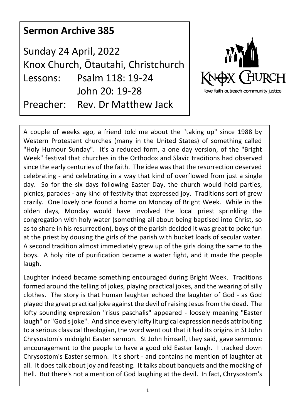## **Sermon Archive 385**

Sunday 24 April, 2022 Knox Church, Ōtautahi, Christchurch Lessons: Psalm 118: 19-24 John 20: 19-28 Preacher: Rev. Dr Matthew Jack



A couple of weeks ago, a friend told me about the "taking up" since 1988 by Western Protestant churches (many in the United States) of something called "Holy Humour Sunday". It's a reduced form, a one day version, of the "Bright Week" festival that churches in the Orthodox and Slavic traditions had observed since the early centuries of the faith. The idea was that the resurrection deserved celebrating - and celebrating in a way that kind of overflowed from just a single day. So for the six days following Easter Day, the church would hold parties, picnics, parades - any kind of festivity that expressed joy. Traditions sort of grew crazily. One lovely one found a home on Monday of Bright Week. While in the olden days, Monday would have involved the local priest sprinkling the congregation with holy water (something all about being baptised into Christ, so as to share in his resurrection), boys of the parish decided it was great to poke fun at the priest by dousing the girls of the parish with bucket loads of secular water. A second tradition almost immediately grew up of the girls doing the same to the boys. A holy rite of purification became a water fight, and it made the people laugh.

Laughter indeed became something encouraged during Bright Week. Traditions formed around the telling of jokes, playing practical jokes, and the wearing of silly clothes. The story is that human laughter echoed the laughter of God - as God played the great practical joke against the devil of raising Jesus from the dead. The lofty sounding expression "risus paschalis" appeared - loosely meaning "Easter laugh" or "God's joke". And since every lofty liturgical expression needs attributing to a serious classical theologian, the word went out that it had its origins in St John Chrysostom's midnight Easter sermon. St John himself, they said, gave sermonic encouragement to the people to have a good old Easter laugh. I tracked down Chrysostom's Easter sermon. It's short - and contains no mention of laughter at all. It does talk about joy and feasting. It talks about banquets and the mocking of Hell. But there's not a mention of God laughing at the devil. In fact, Chrysostom's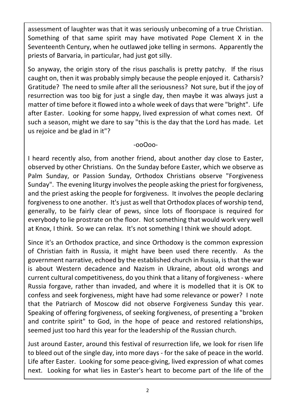assessment of laughter was that it was seriously unbecoming of a true Christian. Something of that same spirit may have motivated Pope Clement X in the Seventeenth Century, when he outlawed joke telling in sermons. Apparently the priests of Barvaria, in particular, had just got silly.

So anyway, the origin story of the risus paschalis is pretty patchy. If the risus caught on, then it was probably simply because the people enjoyed it. Catharsis? Gratitude? The need to smile after all the seriousness? Not sure, but if the joy of resurrection was too big for just a single day, then maybe it was always just a matter of time before it flowed into a whole week of days that were "bright". Life after Easter. Looking for some happy, lived expression of what comes next. Of such a season, might we dare to say "this is the day that the Lord has made. Let us rejoice and be glad in it"?

-ooOoo-

I heard recently also, from another friend, about another day close to Easter, observed by other Christians. On the Sunday before Easter, which we observe as Palm Sunday, or Passion Sunday, Orthodox Christians observe "Forgiveness Sunday". The evening liturgy involves the people asking the priest for forgiveness, and the priest asking the people for forgiveness. It involves the people declaring forgiveness to one another. It's just as well that Orthodox places of worship tend, generally, to be fairly clear of pews, since lots of floorspace is required for everybody to lie prostrate on the floor. Not something that would work very well at Knox, I think. So we can relax. It's not something I think we should adopt.

Since it's an Orthodox practice, and since Orthodoxy is the common expression of Christian faith in Russia, it might have been used there recently. As the government narrative, echoed by the established church in Russia, is that the war is about Western decadence and Nazism in Ukraine, about old wrongs and current cultural competitiveness, do you think that a litany of forgiveness - where Russia forgave, rather than invaded, and where it is modelled that it is OK to confess and seek forgiveness, might have had some relevance or power? I note that the Patriarch of Moscow did not observe Forgiveness Sunday this year. Speaking of offering forgiveness, of seeking forgiveness, of presenting a "broken and contrite spirit" to God, in the hope of peace and restored relationships, seemed just too hard this year for the leadership of the Russian church.

Just around Easter, around this festival of resurrection life, we look for risen life to bleed out of the single day, into more days - for the sake of peace in the world. Life after Easter. Looking for some peace-giving, lived expression of what comes next. Looking for what lies in Easter's heart to become part of the life of the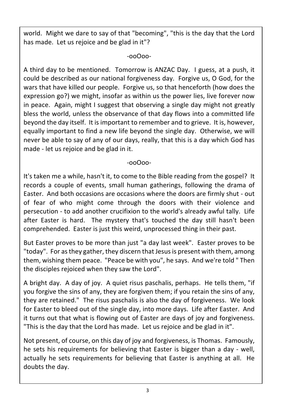world. Might we dare to say of that "becoming", "this is the day that the Lord has made. Let us rejoice and be glad in it"?

-ooOoo-

A third day to be mentioned. Tomorrow is ANZAC Day. I guess, at a push, it could be described as our national forgiveness day. Forgive us, O God, for the wars that have killed our people. Forgive us, so that henceforth (how does the expression go?) we might, insofar as within us the power lies, live forever now in peace. Again, might I suggest that observing a single day might not greatly bless the world, unless the observance of that day flows into a committed life beyond the day itself. It is important to remember and to grieve. It is, however, equally important to find a new life beyond the single day. Otherwise, we will never be able to say of any of our days, really, that this is a day which God has made - let us rejoice and be glad in it.

-ooOoo-

It's taken me a while, hasn't it, to come to the Bible reading from the gospel? It records a couple of events, small human gatherings, following the drama of Easter. And both occasions are occasions where the doors are firmly shut - out of fear of who might come through the doors with their violence and persecution - to add another crucifixion to the world's already awful tally. Life after Easter is hard. The mystery that's touched the day still hasn't been comprehended. Easter is just this weird, unprocessed thing in their past.

But Easter proves to be more than just "a day last week". Easter proves to be "today". For as they gather, they discern that Jesus is present with them, among them, wishing them peace. "Peace be with you", he says. And we're told " Then the disciples rejoiced when they saw the Lord".

A bright day. A day of joy. A quiet risus paschalis, perhaps. He tells them, "if you forgive the sins of any, they are forgiven them; if you retain the sins of any, they are retained." The risus paschalis is also the day of forgiveness. We look for Easter to bleed out of the single day, into more days. Life after Easter. And it turns out that what is flowing out of Easter are days of joy and forgiveness. "This is the day that the Lord has made. Let us rejoice and be glad in it".

Not present, of course, on this day of joy and forgiveness, is Thomas. Famously, he sets his requirements for believing that Easter is bigger than a day - well, actually he sets requirements for believing that Easter is anything at all. He doubts the day.